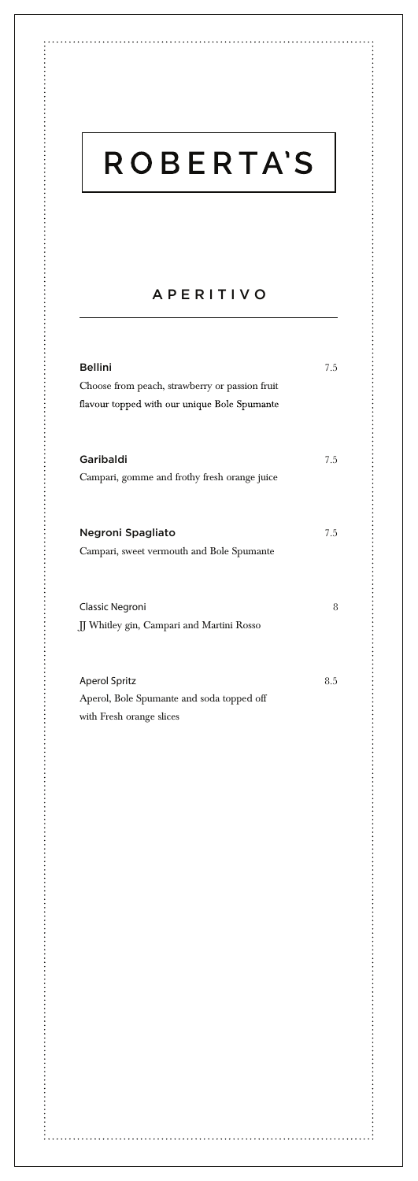# **ROBERTA'S**

### APERITIVO

| <b>Bellini</b>                                 | 7.5 |
|------------------------------------------------|-----|
| Choose from peach, strawberry or passion fruit |     |
| flavour topped with our unique Bole Spumante   |     |
|                                                |     |
|                                                |     |
| Garibaldi                                      | 7.5 |
| Campari, gomme and frothy fresh orange juice   |     |
|                                                |     |
|                                                |     |
| Negroni Spagliato                              | 7.5 |
| Campari, sweet vermouth and Bole Spumante      |     |
|                                                |     |
|                                                |     |
| Classic Negroni                                | 8   |
| JJ Whitley gin, Campari and Martini Rosso      |     |
|                                                |     |
|                                                |     |
| <b>Aperol Spritz</b>                           | 8.5 |
| Aperol, Bole Spumante and soda topped off      |     |
| with Fresh orange slices                       |     |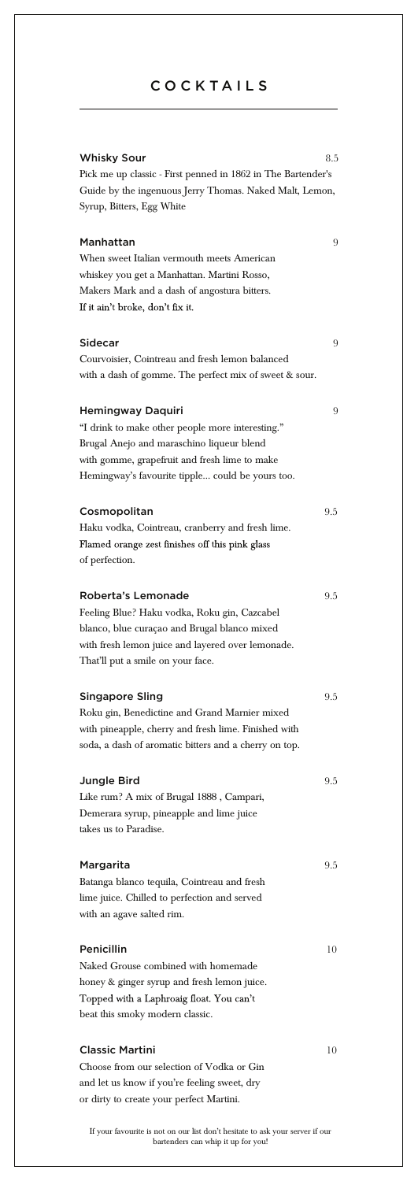## **COCKTAILS**

| Whisky Sour<br>Pick me up classic - First penned in 1862 in The Bartender's                                                                                                                                             | 8.5 |
|-------------------------------------------------------------------------------------------------------------------------------------------------------------------------------------------------------------------------|-----|
| Guide by the ingenuous Jerry Thomas. Naked Malt, Lemon,<br>Syrup, Bitters, Egg White                                                                                                                                    |     |
| Manhattan<br>When sweet Italian vermouth meets American<br>whiskey you get a Manhattan. Martini Rosso,<br>Makers Mark and a dash of angostura bitters.<br>If it ain't broke, don't fix it.                              | 9   |
| Sidecar<br>Courvoisier, Cointreau and fresh lemon balanced<br>with a dash of gomme. The perfect mix of sweet & sour.                                                                                                    | 9   |
| Hemingway Daquiri<br>"I drink to make other people more interesting."<br>Brugal Anejo and maraschino liqueur blend<br>with gomme, grapefruit and fresh lime to make<br>Hemingway's favourite tipple could be yours too. | 9   |
| Cosmopolitan<br>Haku vodka, Cointreau, cranberry and fresh lime.<br>Flamed orange zest finishes off this pink glass<br>of perfection.                                                                                   | 9.5 |
| Roberta's Lemonade<br>Feeling Blue? Haku vodka, Roku gin, Cazcabel<br>blanco, blue curaçao and Brugal blanco mixed<br>with fresh lemon juice and layered over lemonade.<br>That'll put a smile on your face.            | 9.5 |
| <b>Singapore Sling</b><br>Roku gin, Benedictine and Grand Marnier mixed<br>with pineapple, cherry and fresh lime. Finished with<br>soda, a dash of aromatic bitters and a cherry on top.                                | 9.5 |
| Jungle Bird<br>Like rum? A mix of Brugal 1888, Campari,<br>Demerara syrup, pineapple and lime juice<br>takes us to Paradise.                                                                                            | 9.5 |
| Margarita<br>Batanga blanco tequila, Cointreau and fresh<br>lime juice. Chilled to perfection and served<br>with an agave salted rim.                                                                                   | 9.5 |
| Penicillin<br>Naked Grouse combined with homemade<br>honey & ginger syrup and fresh lemon juice.<br>Topped with a Laphroaig float. You can't<br>beat this smoky modern classic.                                         | 10  |
| <b>Classic Martini</b><br>Choose from our selection of Vodka or Gin<br>and let us know if you're feeling sweet, dry<br>or dirty to create your perfect Martini.                                                         | 10  |

If your favourite is not on our list don't hesitate to ask your server if our bartenders can whip it up for you!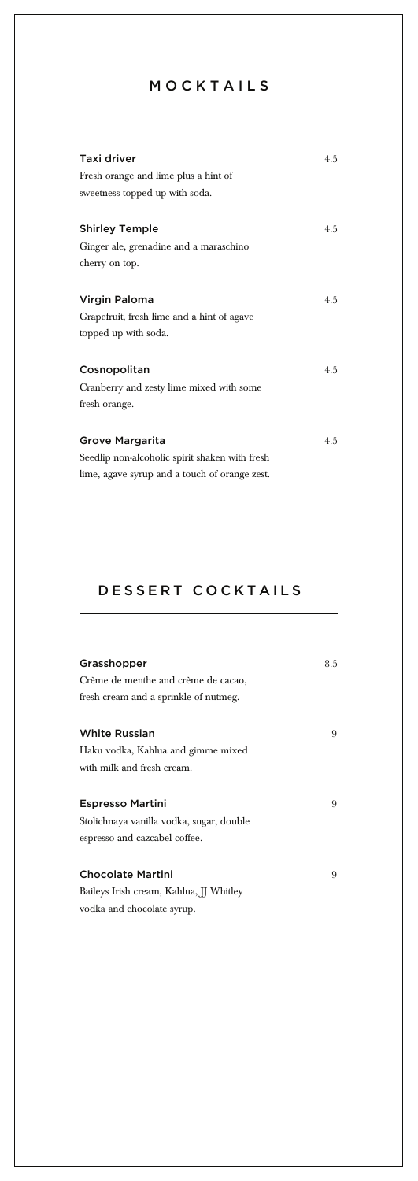## MOCKTAILS

| Taxi driver                                    | 4.5 |
|------------------------------------------------|-----|
| Fresh orange and lime plus a hint of           |     |
| sweetness topped up with soda.                 |     |
|                                                |     |
| Shirley Temple                                 | 4.5 |
| Ginger ale, grenadine and a maraschino         |     |
| cherry on top.                                 |     |
| Virgin Paloma                                  | 4.5 |
| Grapefruit, fresh lime and a hint of agave     |     |
| topped up with soda.                           |     |
| Cosnopolitan                                   | 4.5 |
| Cranberry and zesty lime mixed with some       |     |
| fresh orange.                                  |     |
| Grove Margarita                                | 4.5 |
| Seedlip non-alcoholic spirit shaken with fresh |     |
| lime, agave syrup and a touch of orange zest.  |     |

## DESSERT COCKTAILS

| Grasshopper                              | 8.5 |
|------------------------------------------|-----|
| Crème de menthe and crème de cacao,      |     |
| fresh cream and a sprinkle of nutmeg.    |     |
| <b>White Russian</b>                     | 9   |
| Haku vodka, Kahlua and gimme mixed       |     |
| with milk and fresh cream.               |     |
| Espresso Martini                         | 9   |
| Stolichnaya vanilla vodka, sugar, double |     |
| espresso and cazcabel coffee.            |     |
| Chocolate Martini                        | 9   |
| Baileys Irish cream, Kahlua, JJ Whitley  |     |
| vodka and chocolate syrup.               |     |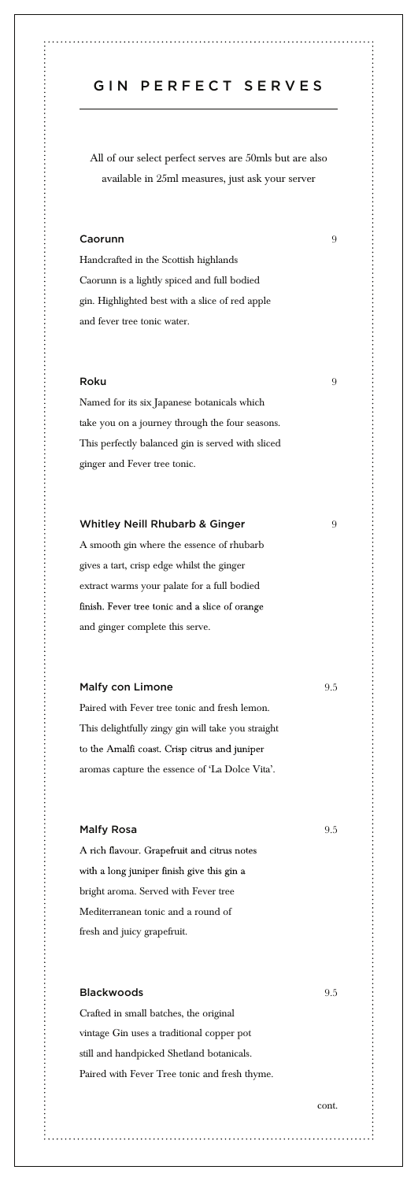## GIN PERFECT SERVES

٠,

,我们的一个小孩的小孩子的女子的女子的女子的女子,我们的女子的女子的女子,我们的女子的女子的女子,我们的女子的女子,我们的女子的女子,我们的女子的女子,我们的女子,我们的女子,我们的女子,我们的女子,

All of our select perfect serves are 50mls but are also available in 25ml measures, just ask your server

#### Caorunn 9

Handcrafted in the Scottish highlands Caorunn is a lightly spiced and full bodied gin. Highlighted best with a slice of red apple and fever tree tonic water.

#### Roku 99 - 1990 - 1991 - 1992 - 1993 - 1994 - 1995 - 1996 - 1997 - 1998 - 1999 - 1999 - 1999 - 1999 - 1999 - 1

Named for its six Japanese botanicals which take you on a journey through the four seasons. This perfectly balanced gin is served with sliced ginger and Fever tree tonic.

#### Whitley Neill Rhubarb & Ginger 9

A smooth gin where the essence of rhubarb gives a tart, crisp edge whilst the ginger extract warms your palate for a full bodied finish. Fever tree tonic and a slice of orange and ginger complete this serve.

#### Malfy con Limone 9.5

Paired with Fever tree tonic and fresh lemon. This delightfully zingy gin will take you straight to the Amalfi coast. Crisp citrus and juniper aromas capture the essence of 'La Dolce Vita'.

#### Malfy Rosa and the Second Second Second Second Second Second Second Second Second Second Second Second Second Second Second Second Second Second Second Second Second Second Second Second Second Second Second Second Second

A rich flavour. Grapefruit and citrus notes with a long juniper finish give this gin a bright aroma. Served with Fever tree Mediterranean tonic and a round of fresh and juicy grapefruit.

## Blackwoods 9.5

Crafted in small batches, the original vintage Gin uses a traditional copper pot still and handpicked Shetland botanicals. Paired with Fever Tree tonic and fresh thyme.

cont.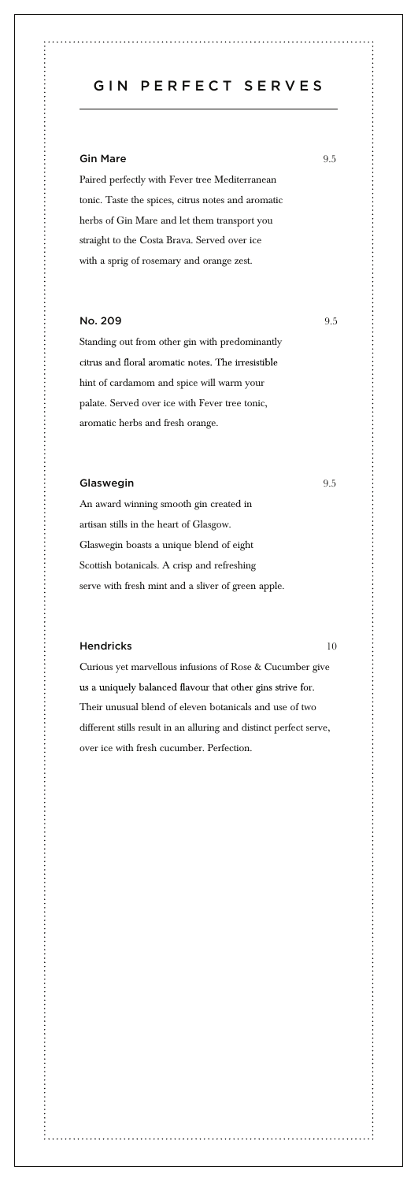GIN PERFECT SERVES

#### Gin Mare 9.5

Paired perfectly with Fever tree Mediterranean tonic. Taste the spices, citrus notes and aromatic herbs of Gin Mare and let them transport you straight to the Costa Brava. Served over ice with a sprig of rosemary and orange zest.

#### No. 209 9.5

Standing out from other gin with predominantly citrus and floral aromatic notes. The irresistible hint of cardamom and spice will warm your palate. Served over ice with Fever tree tonic, aromatic herbs and fresh orange.

#### Glaswegin 9.5

An award winning smooth gin created in artisan stills in the heart of Glasgow. Glaswegin boasts a unique blend of eight Scottish botanicals. A crisp and refreshing serve with fresh mint and a sliver of green apple.

#### Hendricks 10

Curious yet marvellous infusions of Rose & Cucumber give us a uniquely balanced flavour that other gins strive for. Their unusual blend of eleven botanicals and use of two different stills result in an alluring and distinct perfect serve, over ice with fresh cucumber. Perfection.

 $\ddot{\phantom{a}}$ 

,我的人的人的人的女子,不是一个小女子,不是,我的人的女子,不是,我的人的女子,不是,我的人的女子,不是,我的人的女子,不是,我的女子,不是一个女子,不是一个女子,我们的女子,我们的女子,我们的女子,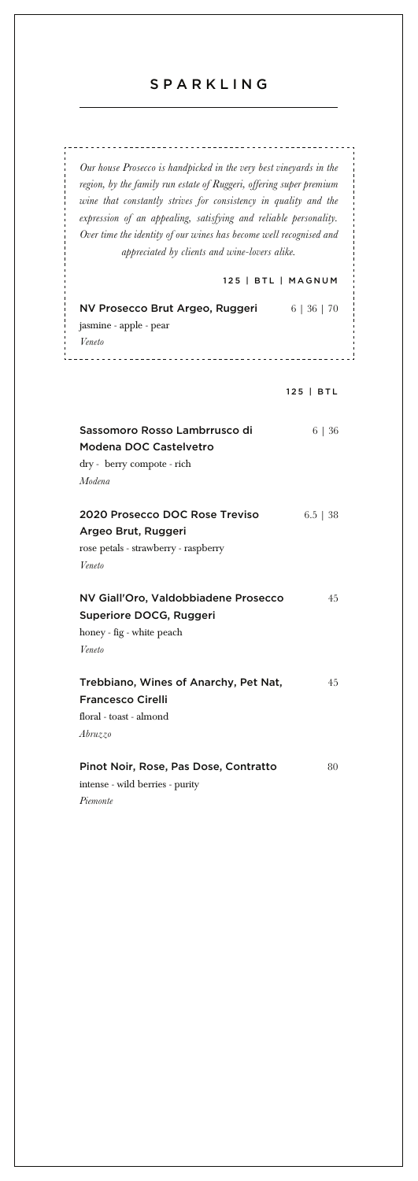## SPARKLING

*Our house Prosecco is handpicked in the very best vineyards in the region, by the family run estate of Ruggeri, offering super premium wine that constantly strives for consistency in quality and the expression of an appealing, satisfying and reliable personality. Over time the identity of our wines has become well recognised and appreciated by clients and wine-lovers alike.*

#### 125 | BTL | MAGNUM

| NV Prosecco Brut Argeo, Ruggeri<br>jasmine - apple - pear<br>Veneto                                     | 6   36   70 |
|---------------------------------------------------------------------------------------------------------|-------------|
|                                                                                                         | 125   BTL   |
| Sassomoro Rosso Lambrrusco di<br>Modena DOC Castelvetro<br>dry - berry compote - rich<br>Modena         | 6   36      |
| 2020 Prosecco DOC Rose Treviso<br>Argeo Brut, Ruggeri<br>rose petals - strawberry - raspberry<br>Veneto | $6.5$   38  |
| NV Giall'Oro, Valdobbiadene Prosecco<br>Superiore DOCG, Ruggeri<br>honey - fig - white peach<br>Veneto  | 45          |
| Trebbiano, Wines of Anarchy, Pet Nat,<br><b>Francesco Cirelli</b><br>floral - toast - almond<br>Abruzzo | 45          |
| Pinot Noir, Rose, Pas Dose, Contratto                                                                   | 80          |

intense - wild berries - purity *Piemonte*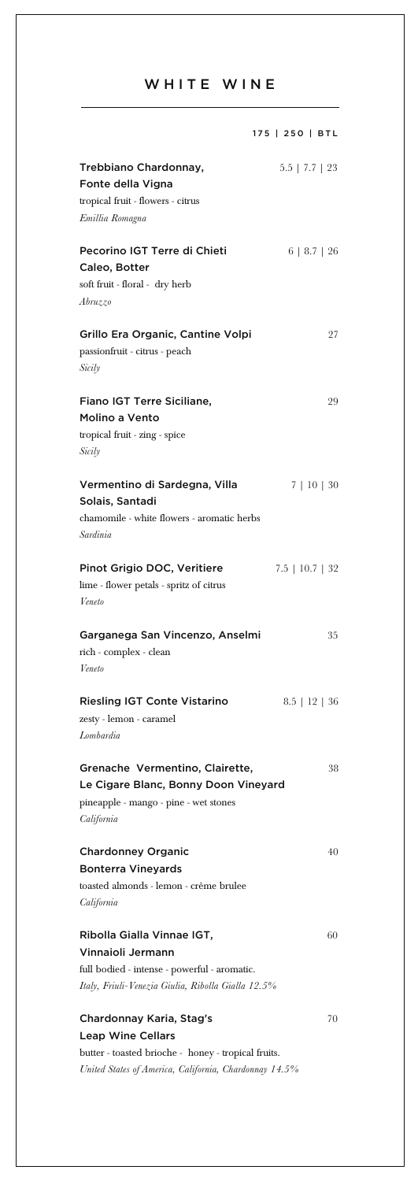## WHITE WINE

|                                                                                                                                                       | 175   250   BTL      |
|-------------------------------------------------------------------------------------------------------------------------------------------------------|----------------------|
| Trebbiano Chardonnay,<br>Fonte della Vigna<br>tropical fruit - flowers - citrus<br>Emillia Romagna                                                    | $5.5$   $7.7$   $23$ |
| Pecorino IGT Terre di Chieti<br>Caleo, Botter<br>soft fruit - floral - dry herb<br>Abruzzo                                                            | 6   8.7   26         |
| Grillo Era Organic, Cantine Volpi<br>passionfruit - citrus - peach<br>Sicily                                                                          | 27                   |
| Fiano IGT Terre Siciliane,<br>Molino a Vento<br>tropical fruit - zing - spice<br>Sicily                                                               | 29                   |
| Vermentino di Sardegna, Villa<br>Solais, Santadi<br>chamomile - white flowers - aromatic herbs<br>Sardinia                                            | 7   10   30          |
| Pinot Grigio DOC, Veritiere<br>lime - flower petals - spritz of citrus<br>Veneto                                                                      | $7.5$   10.7   32    |
| Garganega San Vincenzo, Anselmi<br>rich - complex - clean<br>Veneto                                                                                   | 35                   |
| Riesling IGT Conte Vistarino<br>zesty - lemon - caramel<br>Lombardia                                                                                  | $8.5$   12   36      |
| Grenache Vermentino, Clairette,<br>Le Cigare Blanc, Bonny Doon Vineyard<br>pineapple - mango - pine - wet stones<br>California                        | 38                   |
| <b>Chardonney Organic</b><br><b>Bonterra Vineyards</b><br>toasted almonds - lemon - crème brulee<br>California                                        | 40                   |
| Ribolla Gialla Vinnae IGT,<br>Vinnaioli Jermann<br>full bodied - intense - powerful - aromatic.<br>Italy, Friuli-Venezia Giulia, Ribolla Gialla 12.5% | 60                   |
| Chardonnay Karia, Stag's<br><b>Leap Wine Cellars</b><br>butter - toasted brioche - honey - tropical fruits.                                           | 70                   |

*United States of America, California, Chardonnay 14.5%*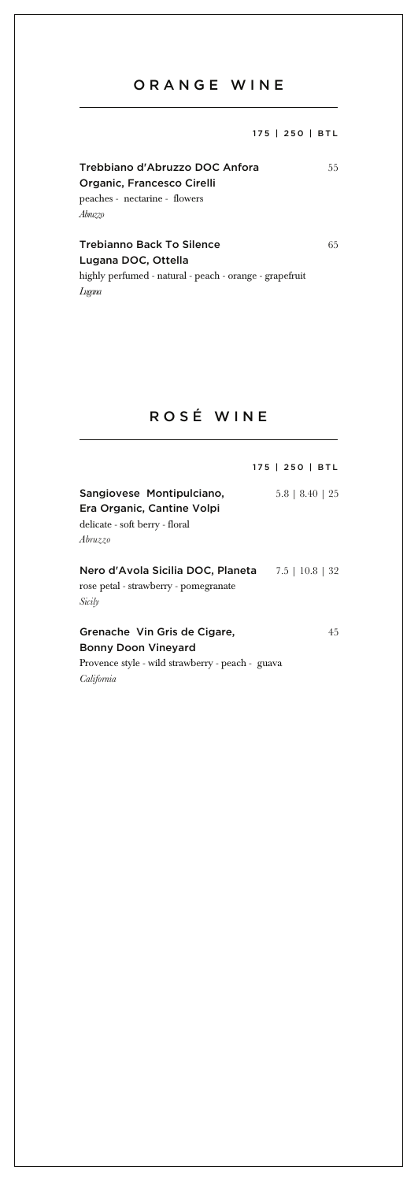## ORANGE WINE

175 | 250 | BTL

### Trebbiano d'Abruzzo DOC Anfora 55 Organic, Francesco Cirelli peaches - nectarine - flowers *Abruzzo*

Trebianno Back To Silence 65

Lugana DOC, Ottella highly perfumed - natural - peach - orange - grapefruit *Lugana*

### ROSÉ WINE

|                                                                                                      | 175   250   BTL       |
|------------------------------------------------------------------------------------------------------|-----------------------|
| Sangiovese Montipulciano,<br>Era Organic, Cantine Volpi<br>delicate - soft berry - floral<br>Abruzzo | $5.8$   $8.40$   $25$ |
| Nero d'Avola Sicilia DOC, Planeta 7.5   10.8   32<br>rose petal - strawberry - pomegranate<br>Sicily |                       |
| Grenache Vin Gris de Cigare,<br><b>Bonny Doon Vineyard</b>                                           | 4.5                   |

Provence style - wild strawberry - peach - guava *California*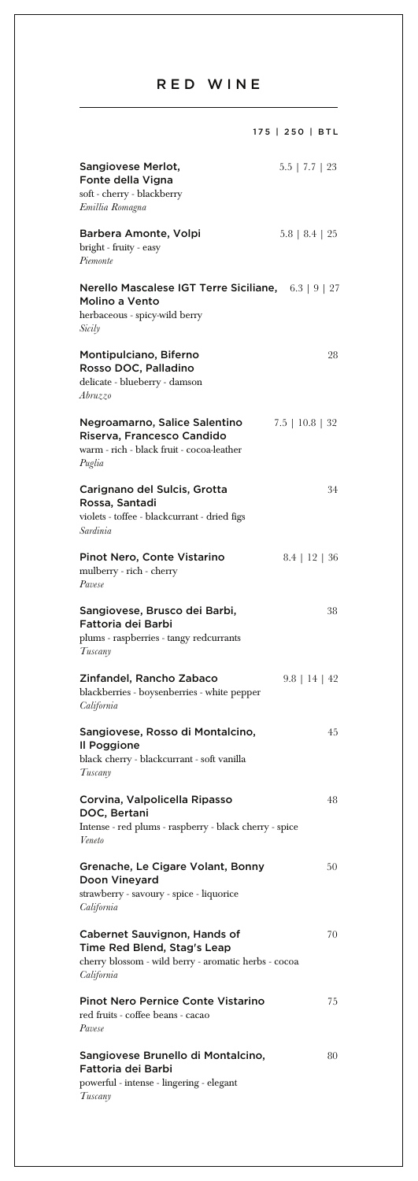## RED WINE

|                                                                                                                                   | 175   250   BTL      |
|-----------------------------------------------------------------------------------------------------------------------------------|----------------------|
| Sangiovese Merlot,<br>Fonte della Vigna<br>soft - cherry - blackberry<br>Emillia Romagna                                          | $5.5$   $7.7$   $23$ |
| Barbera Amonte, Volpi<br>bright - fruity - easy<br>Piemonte                                                                       | $5.8$   $8.4$   $25$ |
| Nerello Mascalese IGT Terre Siciliane, 6.3   9   27<br>Molino a Vento<br>herbaceous - spicy-wild berry<br>Sicily                  |                      |
| Montipulciano, Biferno<br>Rosso DOC, Palladino<br>delicate - blueberry - damson<br>Abruzzo                                        | 28                   |
| Negroamarno, Salice Salentino<br>Riserva, Francesco Candido<br>warm - rich - black fruit - cocoa-leather<br>Puglia                | $7.5$   10.8   32    |
| Carignano del Sulcis, Grotta<br>Rossa, Santadi<br>violets - toffee - blackcurrant - dried figs<br>Sardinia                        | 34                   |
| Pinot Nero, Conte Vistarino<br>mulberry - rich - cherry<br>Pavese                                                                 | $8.4$   12   36      |
| Sangiovese, Brusco dei Barbi,<br>Fattoria dei Barbi<br>plums - raspberries - tangy redcurrants<br>Tuscany                         | 38                   |
| Zinfandel, Rancho Zabaco<br>blackberries - boysenberries - white pepper<br>California                                             | $9.8$   14   42      |
| Sangiovese, Rosso di Montalcino,<br>Il Poggione<br>black cherry - blackcurrant - soft vanilla<br>Tuscany                          | 45                   |
| Corvina, Valpolicella Ripasso<br>DOC, Bertani<br>Intense - red plums - raspberry - black cherry - spice<br>Veneto                 | 48                   |
| Grenache, Le Cigare Volant, Bonny<br>Doon Vineyard<br>strawberry - savoury - spice - liquorice<br>California                      | 50                   |
| Cabernet Sauvignon, Hands of<br>Time Red Blend, Stag's Leap<br>cherry blossom - wild berry - aromatic herbs - cocoa<br>California | 70                   |
| Pinot Nero Pernice Conte Vistarino<br>red fruits - coffee beans - cacao<br>Pavese                                                 | 75                   |
| Sangiovese Brunello di Montalcino,<br>Fattoria dei Barbi<br>powerful - intense - lingering - elegant<br>Tuscany                   | 80                   |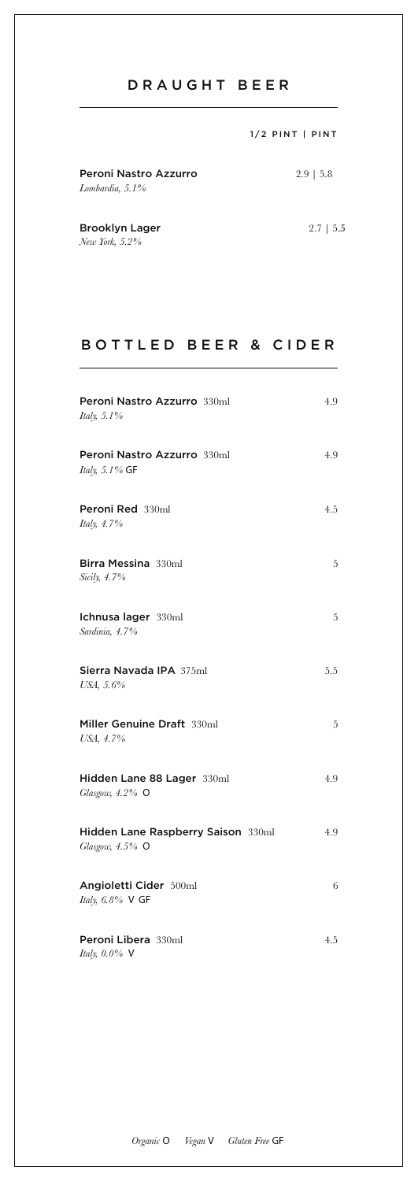## DRAUGHT BEER

|                                          | $1/2$ PINT   PINT |
|------------------------------------------|-------------------|
| Peroni Nastro Azzurro<br>Lombardia, 5.1% | $2.9$   5.8       |
| <b>Brooklyn Lager</b>                    | $2.7 \pm 5.5$     |

*New York, 5.2%*

### BOTTLED BEER & CIDER

| Peroni Nastro Azzurro 330ml<br>Italy, 5.1%            | 4.9 |
|-------------------------------------------------------|-----|
| Peroni Nastro Azzurro 330ml<br>Italy, 5.1% GF         | 4.9 |
| Peroni Red 330ml<br>Italy, 4.7%                       | 4.5 |
| Birra Messina 330ml<br>Sicily, 4.7%                   | 5   |
| Ichnusa lager 330ml<br>Sardinia, 4.7%                 | 5   |
| Sierra Navada IPA 375ml<br>USA, 5.6%                  | 5.5 |
| Miller Genuine Draft 330ml<br>USA, 4.7%               | 5   |
| Hidden Lane 88 Lager 330ml<br>Glasgow, 4.2% O         | 4.9 |
| Hidden Lane Raspberry Saison 330ml<br>Glasgow, 4.5% O | 4.9 |
| Angioletti Cider 500ml<br>Italy, 6.8% V GF            | 6   |
| Peroni Libera 330ml<br>Italy, 0.0% V                  | 4.5 |

*Organic O Vegan V Gluten Free GF*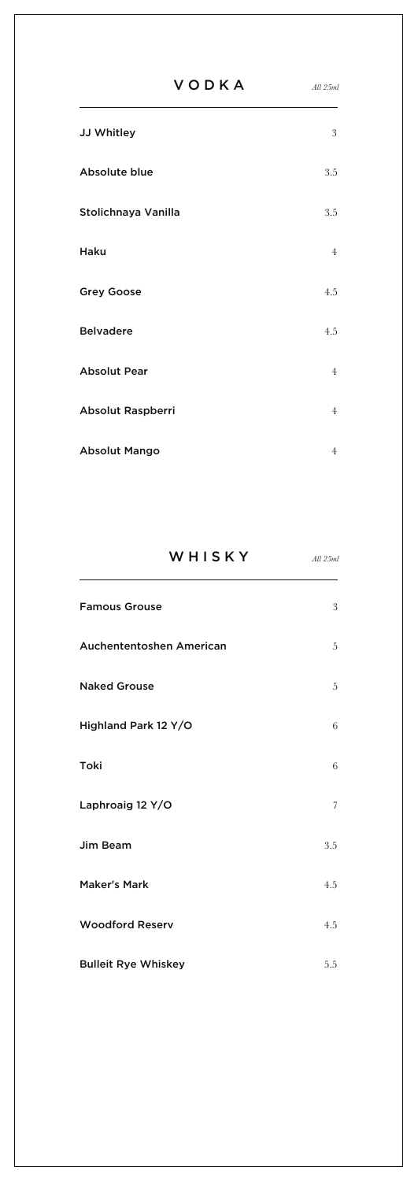|                      | <b>VODKA</b> | All 25ml       |
|----------------------|--------------|----------------|
| JJ Whitley           |              | 3              |
| Absolute blue        |              | 3.5            |
| Stolichnaya Vanilla  |              | 3.5            |
| Haku                 |              | $\overline{4}$ |
| <b>Grey Goose</b>    |              | 4.5            |
| <b>Belvadere</b>     |              | 4.5            |
| <b>Absolut Pear</b>  |              | $\overline{4}$ |
| Absolut Raspberri    |              | $\overline{4}$ |
| <b>Absolut Mango</b> |              | $\overline{4}$ |

| WHISKY                   | All 25ml |
|--------------------------|----------|
| <b>Famous Grouse</b>     | 3        |
| Auchententoshen American | 5        |
| <b>Naked Grouse</b>      | 5        |
| Highland Park 12 Y/O     | 6        |
| Toki                     | 6        |
| Laphroaig 12 Y/O         | 7        |
| Jim Beam                 | 3.5      |
| <b>Maker's Mark</b>      | 4.5      |
| <b>Woodford Reserv</b>   | 4.5      |

Bulleit Rye Whiskey **5.5**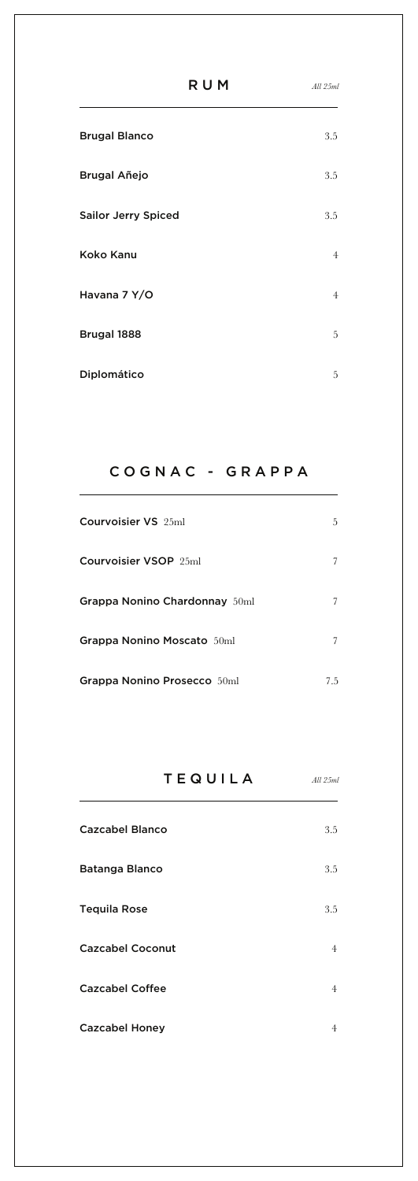| R U M                      | All 25ml       |
|----------------------------|----------------|
| <b>Brugal Blanco</b>       | 3.5            |
| Brugal Añejo               | 3.5            |
| <b>Sailor Jerry Spiced</b> | 3.5            |
| Koko Kanu                  | $\overline{4}$ |
| Havana 7 Y/O               | $\overline{4}$ |
| Brugal 1888                | 5              |
| Diplomático                | 5              |

## COGNAC - GRAPPA

| Courvoisier VS 25ml               | 5.  |
|-----------------------------------|-----|
| Courvoisier VSOP 25ml             | 7   |
| Grappa Nonino Chardonnay 50ml     | 7   |
| <b>Grappa Nonino Moscato</b> 50ml | 7   |
| Grappa Nonino Prosecco 50ml       | 7.5 |

# TEQUILA

*All 25ml*

| <b>Cazcabel Blanco</b>  | 3.5            |
|-------------------------|----------------|
| Batanga Blanco          | 3.5            |
| <b>Tequila Rose</b>     | 3.5            |
| <b>Cazcabel Coconut</b> | $\overline{4}$ |
| <b>Cazcabel Coffee</b>  | $\overline{4}$ |
| <b>Cazcabel Honey</b>   | 4              |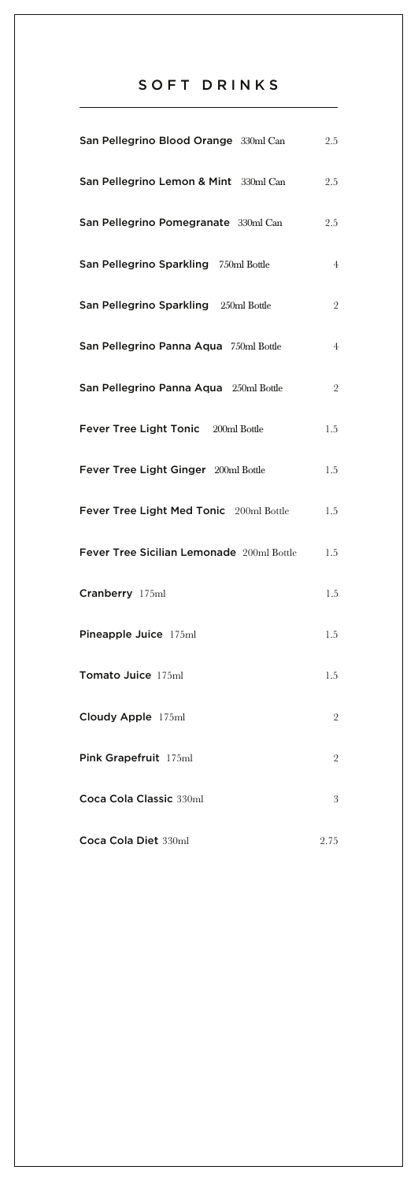## SOFT DRINKS

| San Pellegrino Blood Orange 330ml Can     | 2.5            |
|-------------------------------------------|----------------|
| San Pellegrino Lemon & Mint 330ml Can     | 2.5            |
| San Pellegrino Pomegranate 330ml Can      | 2.5            |
| San Pellegrino Sparkling 750ml Bottle     | $\overline{4}$ |
| San Pellegrino Sparkling 250ml Bottle     | $\overline{2}$ |
| San Pellegrino Panna Aqua 750ml Bottle    | $\overline{4}$ |
| San Pellegrino Panna Aqua 250ml Bottle    | $\overline{2}$ |
| Fever Tree Light Tonic 200ml Bottle       | 1.5            |
| Fever Tree Light Ginger 200ml Bottle      | 1.5            |
| Fever Tree Light Med Tonic 200ml Bottle   | 1.5            |
| Fever Tree Sicilian Lemonade 200ml Bottle | 1.5            |
| Cranberry 175ml                           | 1.5            |
| Pineapple Juice 175ml                     | 1.5            |
| Tomato Juice 175ml                        | 1.5            |
| Cloudy Apple 175ml                        | $\overline{2}$ |
| Pink Grapefruit 175ml                     | $\overline{2}$ |
| Coca Cola Classic 330ml                   | 3              |
| Coca Cola Diet 330ml                      | 2.75           |